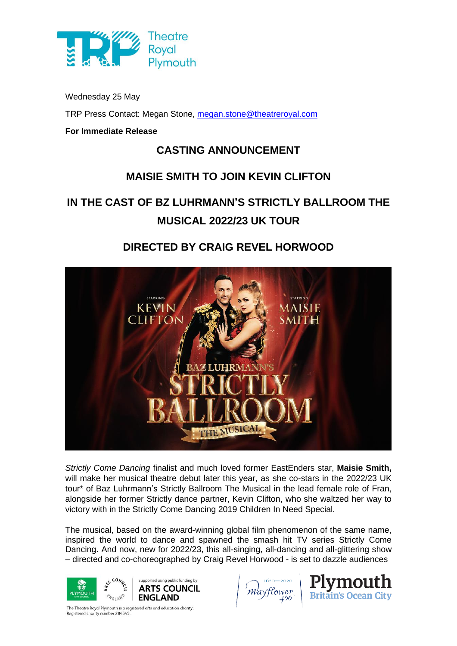

Wednesday 25 May

TRP Press Contact: Megan Stone, [megan.stone@theatreroyal.com](mailto:megan.stone@theatreroyal.com)

### **For Immediate Release**

## **CASTING ANNOUNCEMENT**

## **MAISIE SMITH TO JOIN KEVIN CLIFTON**

# **IN THE CAST OF BZ LUHRMANN'S STRICTLY BALLROOM THE MUSICAL 2022/23 UK TOUR**

# **DIRECTED BY CRAIG REVEL HORWOOD**



*Strictly Come Dancing* finalist and much loved former EastEnders star, **Maisie Smith,** will make her musical theatre debut later this year, as she co-stars in the 2022/23 UK tour\* of Baz Luhrmann's Strictly Ballroom The Musical in the lead female role of Fran, alongside her former Strictly dance partner, Kevin Clifton, who she waltzed her way to victory with in the Strictly Come Dancing 2019 Children In Need Special.

The musical, based on the award-winning global film phenomenon of the same name, inspired the world to dance and spawned the smash hit TV series Strictly Come Dancing. And now, new for 2022/23, this all-singing, all-dancing and all-glittering show – directed and co-choreographed by Craig Revel Horwood - is set to dazzle audiences



lower 400



The Theatre Royal Plymouth is a registered arts and education charity. Registered charity number 284545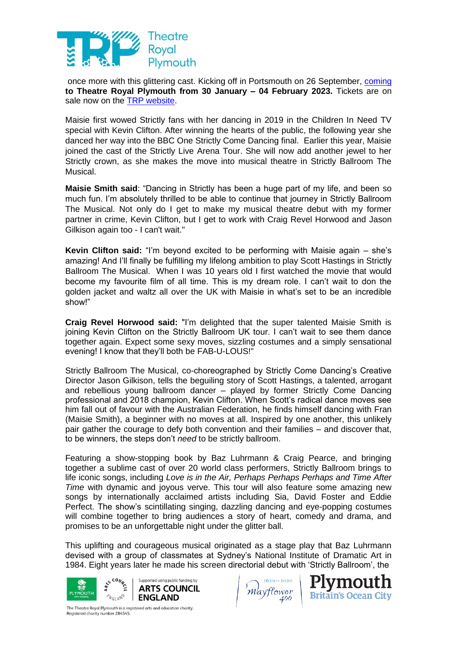

once more with this glittering cast. Kicking off in Portsmouth on 26 September, coming **to Theatre Royal Plymouth from 30 January – 04 February 2023.** Tickets are on sale now on the TRP [website.](https://theatreroyal.com/whats-on/strictly-ballroom-2/)

Maisie first wowed Strictly fans with her dancing in 2019 in the Children In Need TV special with Kevin Clifton. After winning the hearts of the public, the following year she danced her way into the BBC One Strictly Come Dancing final. Earlier this year, Maisie joined the cast of the Strictly Live Arena Tour. She will now add another jewel to her Strictly crown, as she makes the move into musical theatre in Strictly Ballroom The Musical.

**Maisie Smith said**: "Dancing in Strictly has been a huge part of my life, and been so much fun. I'm absolutely thrilled to be able to continue that journey in Strictly Ballroom The Musical. Not only do I get to make my musical theatre debut with my former partner in crime, Kevin Clifton, but I get to work with Craig Revel Horwood and Jason Gilkison again too - I can't wait."

**Kevin Clifton said:** "I'm beyond excited to be performing with Maisie again – she's amazing! And I'll finally be fulfilling my lifelong ambition to play Scott Hastings in Strictly Ballroom The Musical. When I was 10 years old I first watched the movie that would become my favourite film of all time. This is my dream role. I can't wait to don the golden jacket and waltz all over the UK with Maisie in what's set to be an incredible show!"

**Craig Revel Horwood said:** "I'm delighted that the super talented Maisie Smith is joining Kevin Clifton on the Strictly Ballroom UK tour. I can't wait to see them dance together again. Expect some sexy moves, sizzling costumes and a simply sensational evening! I know that they'll both be FAB-U-LOUS!"

Strictly Ballroom The Musical, co-choreographed by Strictly Come Dancing's Creative Director Jason Gilkison, tells the beguiling story of Scott Hastings, a talented, arrogant and rebellious young ballroom dancer – played by former Strictly Come Dancing professional and 2018 champion, Kevin Clifton. When Scott's radical dance moves see him fall out of favour with the Australian Federation, he finds himself dancing with Fran (Maisie Smith), a beginner with no moves at all. Inspired by one another, this unlikely pair gather the courage to defy both convention and their families – and discover that, to be winners, the steps don't *need* to be strictly ballroom.

Featuring a show-stopping book by Baz Luhrmann & Craig Pearce, and bringing together a sublime cast of over 20 world class performers, Strictly Ballroom brings to life iconic songs, including *Love is in the Air, Perhaps Perhaps Perhaps and Time After Time* with dynamic and joyous verve. This tour will also feature some amazing new songs by internationally acclaimed artists including Sia, David Foster and Eddie Perfect. The show's scintillating singing, dazzling dancing and eye-popping costumes will combine together to bring audiences a story of heart, comedy and drama, and promises to be an unforgettable night under the glitter ball.

This uplifting and courageous musical originated as a stage play that Baz Luhrmann devised with a group of classmates at Sydney's National Institute of Dramatic Art in 1984. Eight years later he made his screen directorial debut with 'Strictly Ballroom', the



Mavflower  $400$